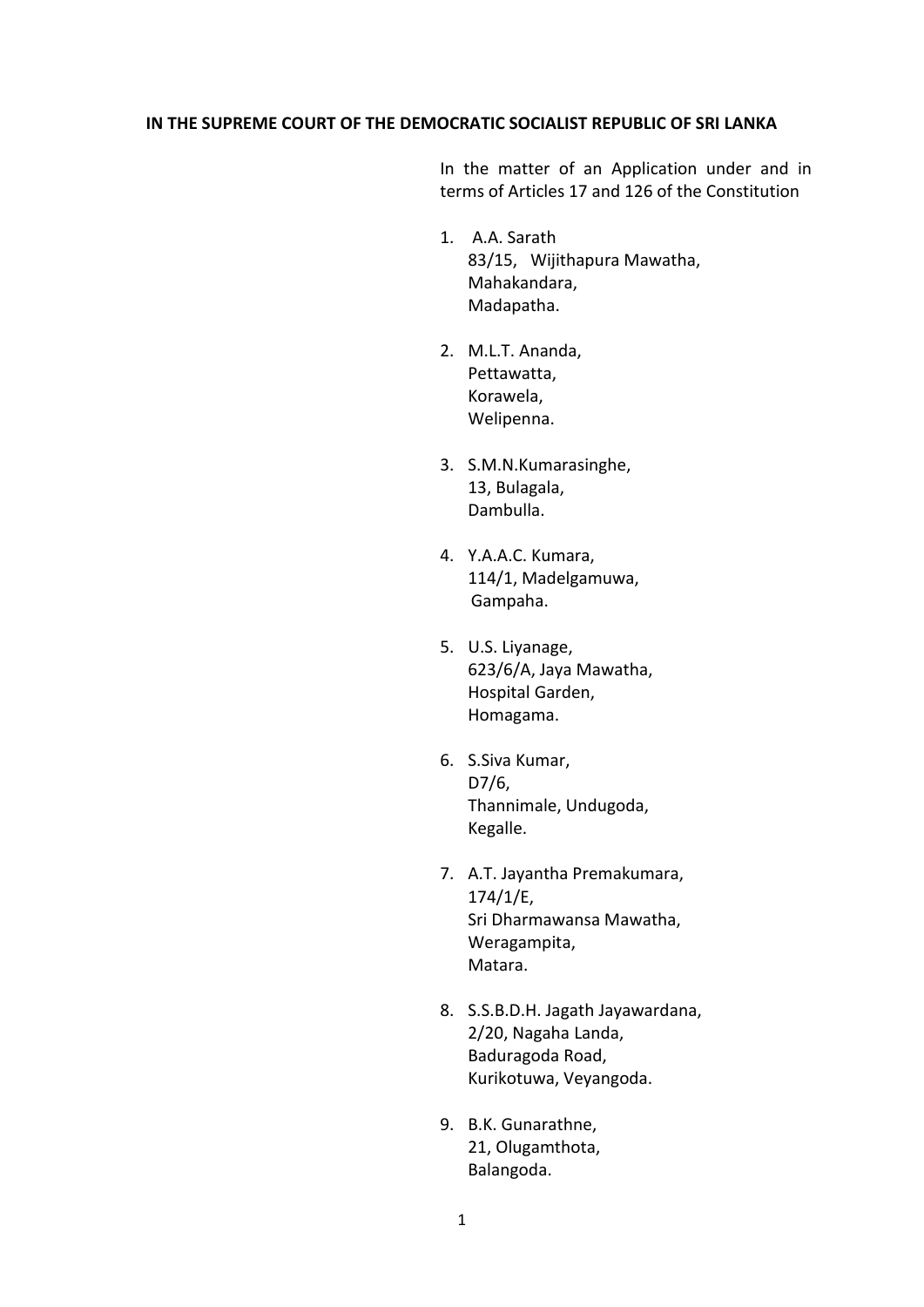### **IN THE SUPREME COURT OF THE DEMOCRATIC SOCIALIST REPUBLIC OF SRI LANKA**

In the matter of an Application under and in terms of Articles 17 and 126 of the Constitution

- 1. A.A. Sarath 83/15, Wijithapura Mawatha, Mahakandara, Madapatha.
- 2. M.L.T. Ananda, Pettawatta, Korawela, Welipenna.
- 3. S.M.N.Kumarasinghe, 13, Bulagala, Dambulla.
- 4. Y.A.A.C. Kumara, 114/1, Madelgamuwa, Gampaha.
- 5. U.S. Liyanage, 623/6/A, Jaya Mawatha, Hospital Garden, Homagama.
- 6. S.Siva Kumar, D7/6, Thannimale, Undugoda, Kegalle.
- 7. A.T. Jayantha Premakumara, 174/1/E, Sri Dharmawansa Mawatha, Weragampita, Matara.
- 8. S.S.B.D.H. Jagath Jayawardana, 2/20, Nagaha Landa, Baduragoda Road, Kurikotuwa, Veyangoda.
- 9. B.K. Gunarathne, 21, Olugamthota, Balangoda.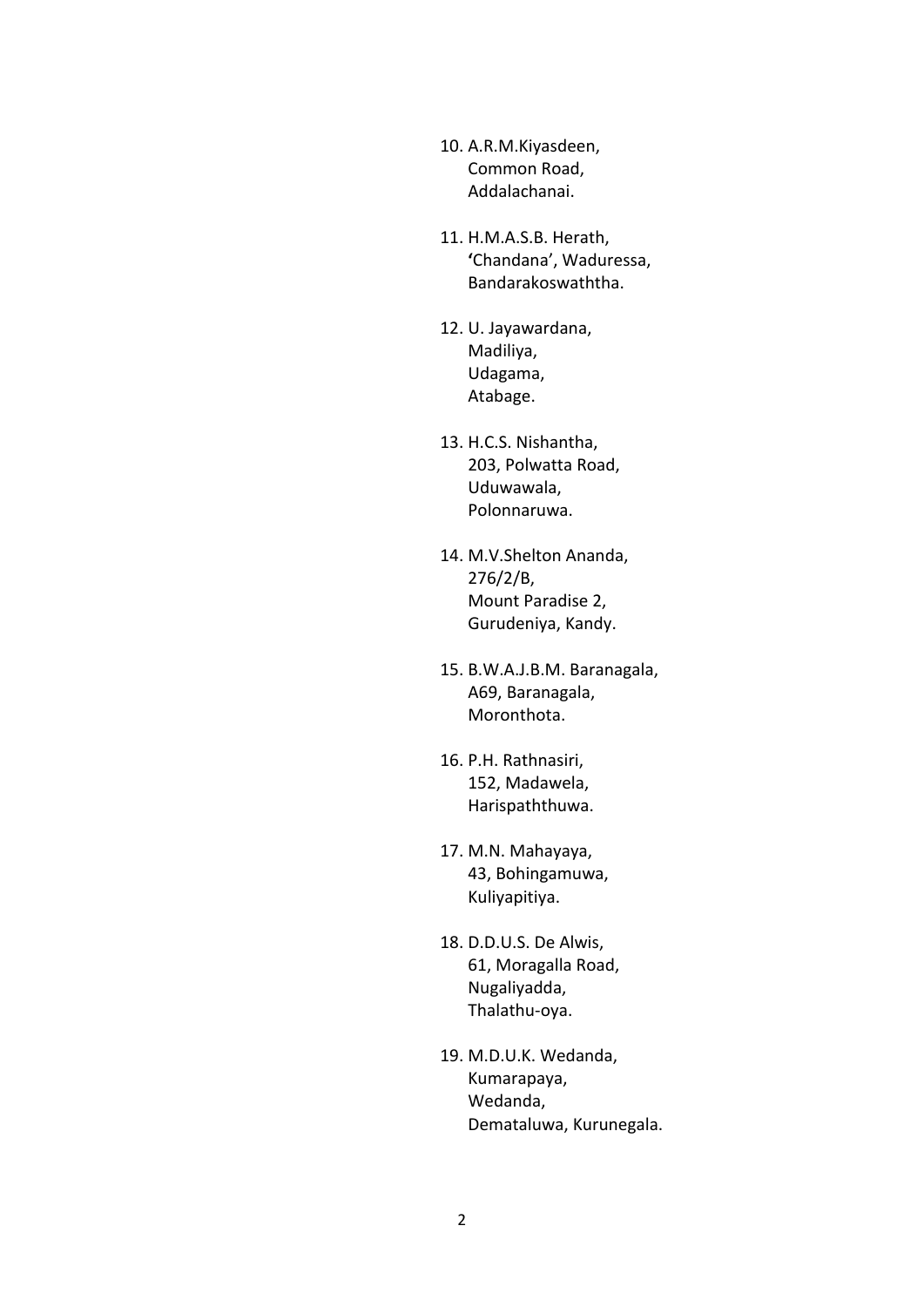- 10. A.R.M.Kiyasdeen, Common Road, Addalachanai.
- 11. H.M.A.S.B. Herath, **'**Chandana', Waduressa, Bandarakoswaththa.
- 12. U. Jayawardana, Madiliya, Udagama, Atabage.
- 13. H.C.S. Nishantha, 203, Polwatta Road, Uduwawala, Polonnaruwa.
- 14. M.V.Shelton Ananda, 276/2/B, Mount Paradise 2, Gurudeniya, Kandy.
- 15. B.W.A.J.B.M. Baranagala, A69, Baranagala, Moronthota.
- 16. P.H. Rathnasiri, 152, Madawela, Harispaththuwa.
- 17. M.N. Mahayaya, 43, Bohingamuwa, Kuliyapitiya.
- 18. D.D.U.S. De Alwis, 61, Moragalla Road, Nugaliyadda, Thalathu-oya.
- 19. M.D.U.K. Wedanda, Kumarapaya, Wedanda, Demataluwa, Kurunegala.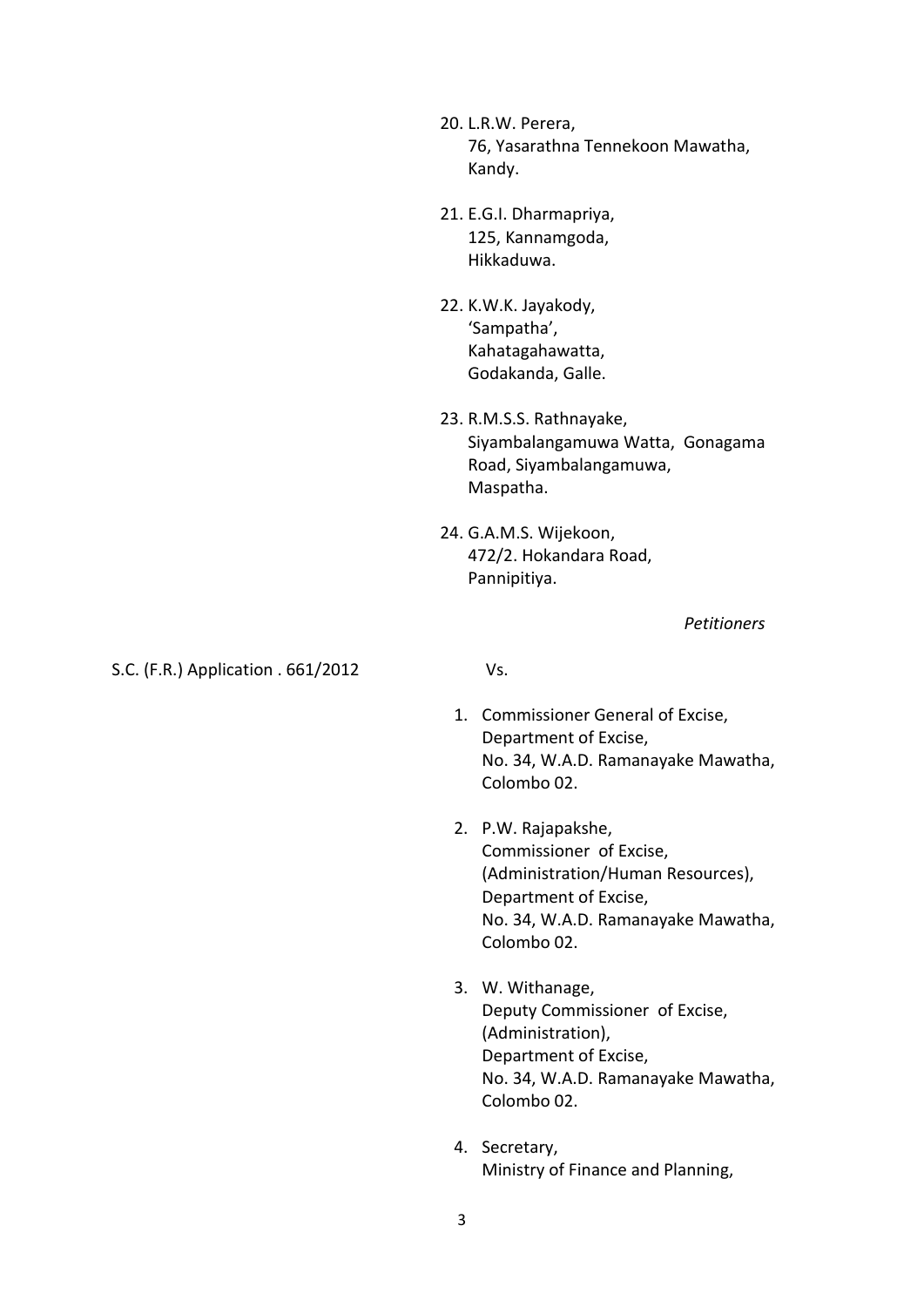20. L.R.W. Perera, 76, Yasarathna Tennekoon Mawatha, Kandy.

- 21. E.G.I. Dharmapriya, 125, Kannamgoda, Hikkaduwa.
- 22. K.W.K. Jayakody, 'Sampatha', Kahatagahawatta, Godakanda, Galle.
- 23. R.M.S.S. Rathnayake, Siyambalangamuwa Watta, Gonagama Road, Siyambalangamuwa, Maspatha.
- 24. G.A.M.S. Wijekoon, 472/2. Hokandara Road, Pannipitiya.

*Petitioners*

### S.C. (F.R.) Application . 661/2012 Vs.

- 1. Commissioner General of Excise, Department of Excise, No. 34, W.A.D. Ramanayake Mawatha, Colombo 02.
- 2. P.W. Rajapakshe, Commissioner of Excise, (Administration/Human Resources), Department of Excise, No. 34, W.A.D. Ramanayake Mawatha, Colombo 02.
- 3. W. Withanage, Deputy Commissioner of Excise, (Administration), Department of Excise, No. 34, W.A.D. Ramanayake Mawatha, Colombo 02.
- 4. Secretary, Ministry of Finance and Planning,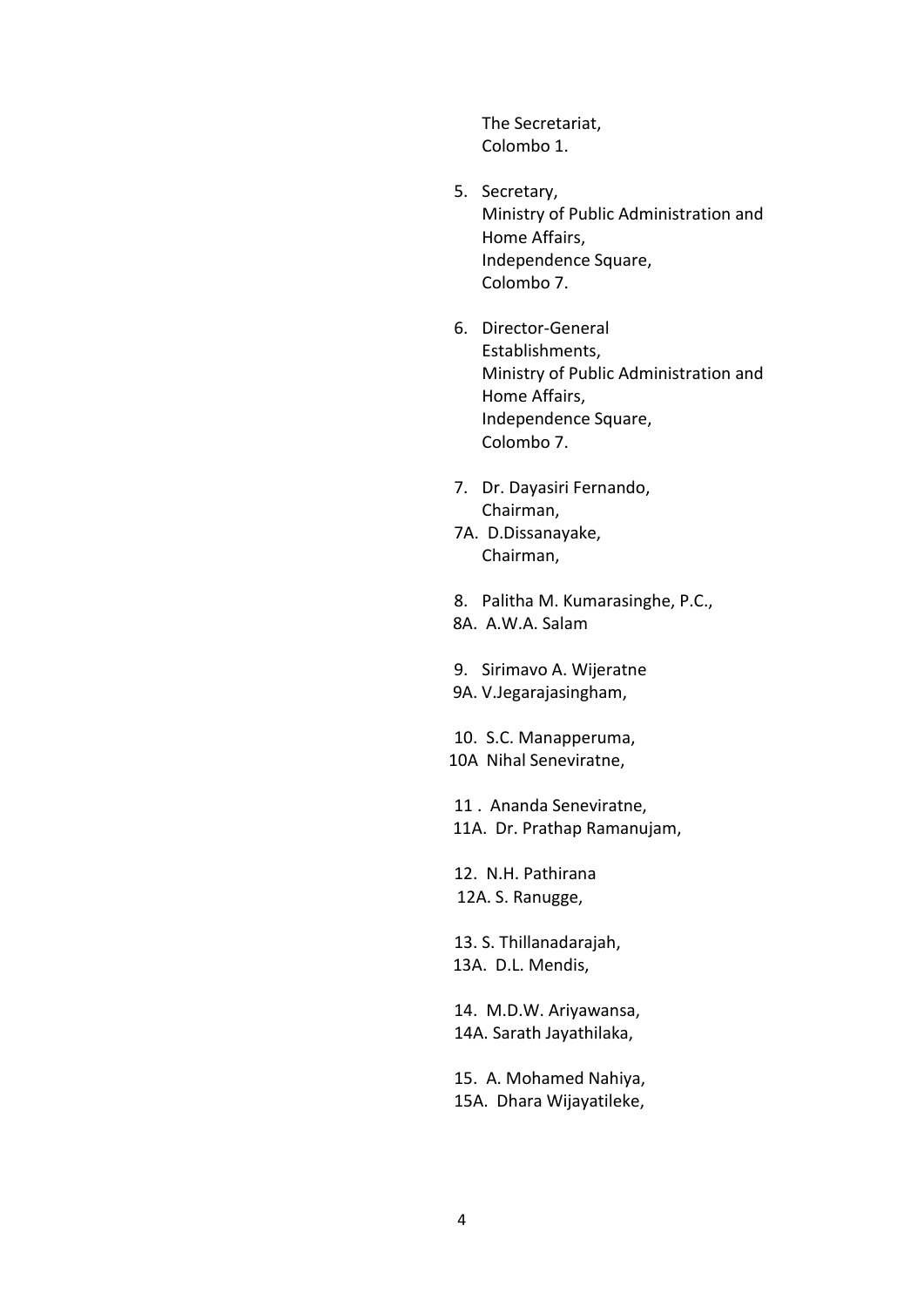The Secretariat, Colombo 1.

- 5. Secretary, Ministry of Public Administration and Home Affairs, Independence Square, Colombo 7.
- 6. Director-General Establishments, Ministry of Public Administration and Home Affairs, Independence Square, Colombo 7.
- 7. Dr. Dayasiri Fernando, Chairman,
- 7A. D.Dissanayake, Chairman,
- 8. Palitha M. Kumarasinghe, P.C.,
- 8A. A.W.A. Salam
- 9. Sirimavo A. Wijeratne
- 9A. V.Jegarajasingham,

10. S.C. Manapperuma, 10A Nihal Seneviratne,

 11 . Ananda Seneviratne, 11A. Dr. Prathap Ramanujam,

12. N.H. Pathirana 12A. S. Ranugge,

13. S. Thillanadarajah, 13A. D.L. Mendis,

14. M.D.W. Ariyawansa, 14A. Sarath Jayathilaka,

15. A. Mohamed Nahiya, 15A. Dhara Wijayatileke,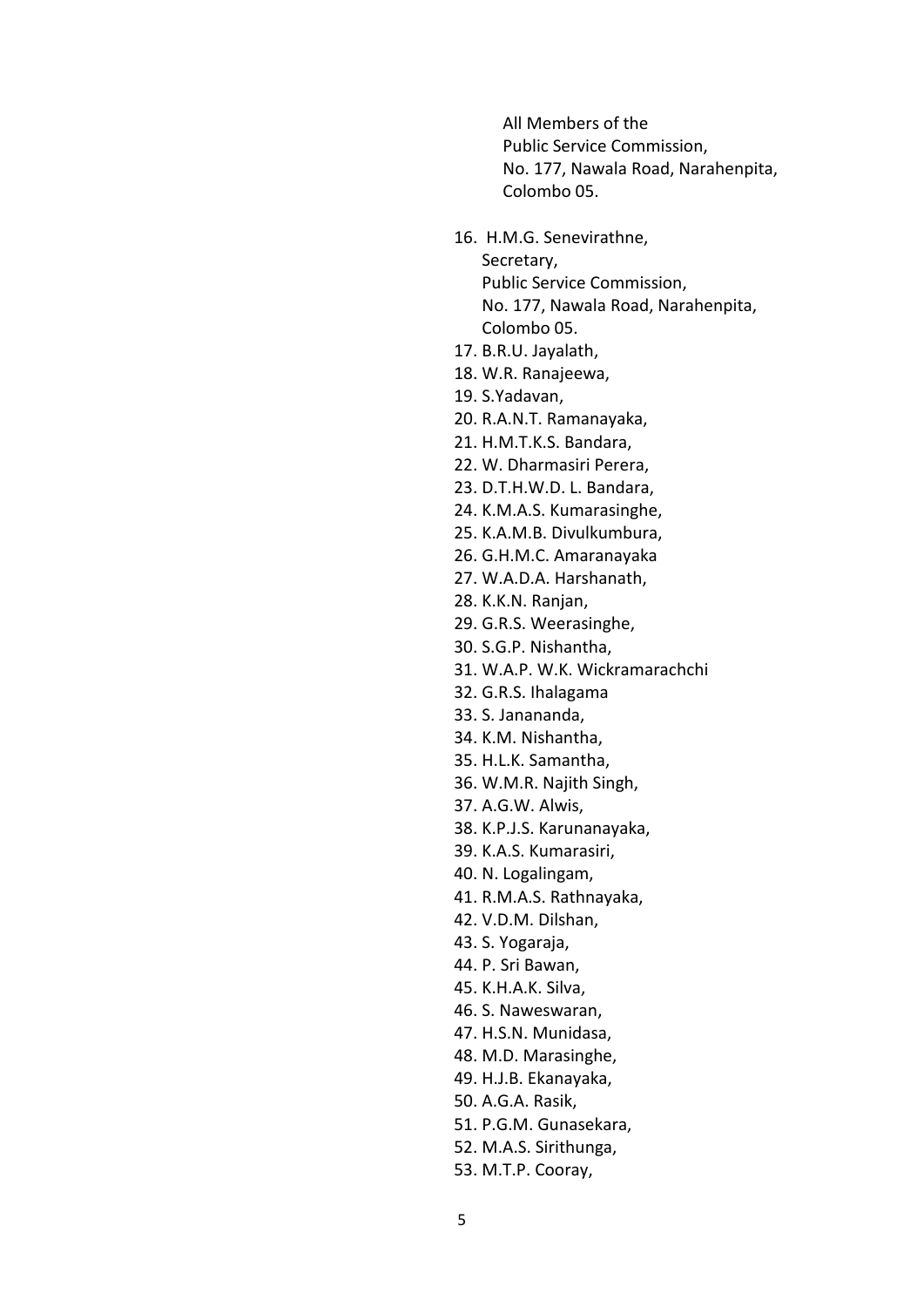All Members of the Public Service Commission, No. 177, Nawala Road, Narahenpita, Colombo 05.

16. H.M.G. Senevirathne, Secretary,

Public Service Commission, No. 177, Nawala Road, Narahenpita, Colombo 05.

- 17. B.R.U. Jayalath,
- 18. W.R. Ranajeewa,
- 19. S.Yadavan,
- 20. R.A.N.T. Ramanayaka,
- 21. H.M.T.K.S. Bandara,
- 22. W. Dharmasiri Perera,
- 23. D.T.H.W.D. L. Bandara,
- 24. K.M.A.S. Kumarasinghe,
- 25. K.A.M.B. Divulkumbura,
- 26. G.H.M.C. Amaranayaka
- 27. W.A.D.A. Harshanath,
- 28. K.K.N. Ranjan,
- 29. G.R.S. Weerasinghe,
- 30. S.G.P. Nishantha,
- 31. W.A.P. W.K. Wickramarachchi
- 32. G.R.S. Ihalagama
- 33. S. Janananda,
- 34. K.M. Nishantha,
- 35. H.L.K. Samantha,
- 36. W.M.R. Najith Singh,
- 37. A.G.W. Alwis,
- 38. K.P.J.S. Karunanayaka,
- 39. K.A.S. Kumarasiri,
- 40. N. Logalingam,
- 41. R.M.A.S. Rathnayaka,
- 42. V.D.M. Dilshan,
- 43. S. Yogaraja,
- 44. P. Sri Bawan,
- 45. K.H.A.K. Silva,
- 46. S. Naweswaran,
- 47. H.S.N. Munidasa,
- 48. M.D. Marasinghe,
- 49. H.J.B. Ekanayaka,
- 50. A.G.A. Rasik,
- 51. P.G.M. Gunasekara,
- 52. M.A.S. Sirithunga,
- 53. M.T.P. Cooray,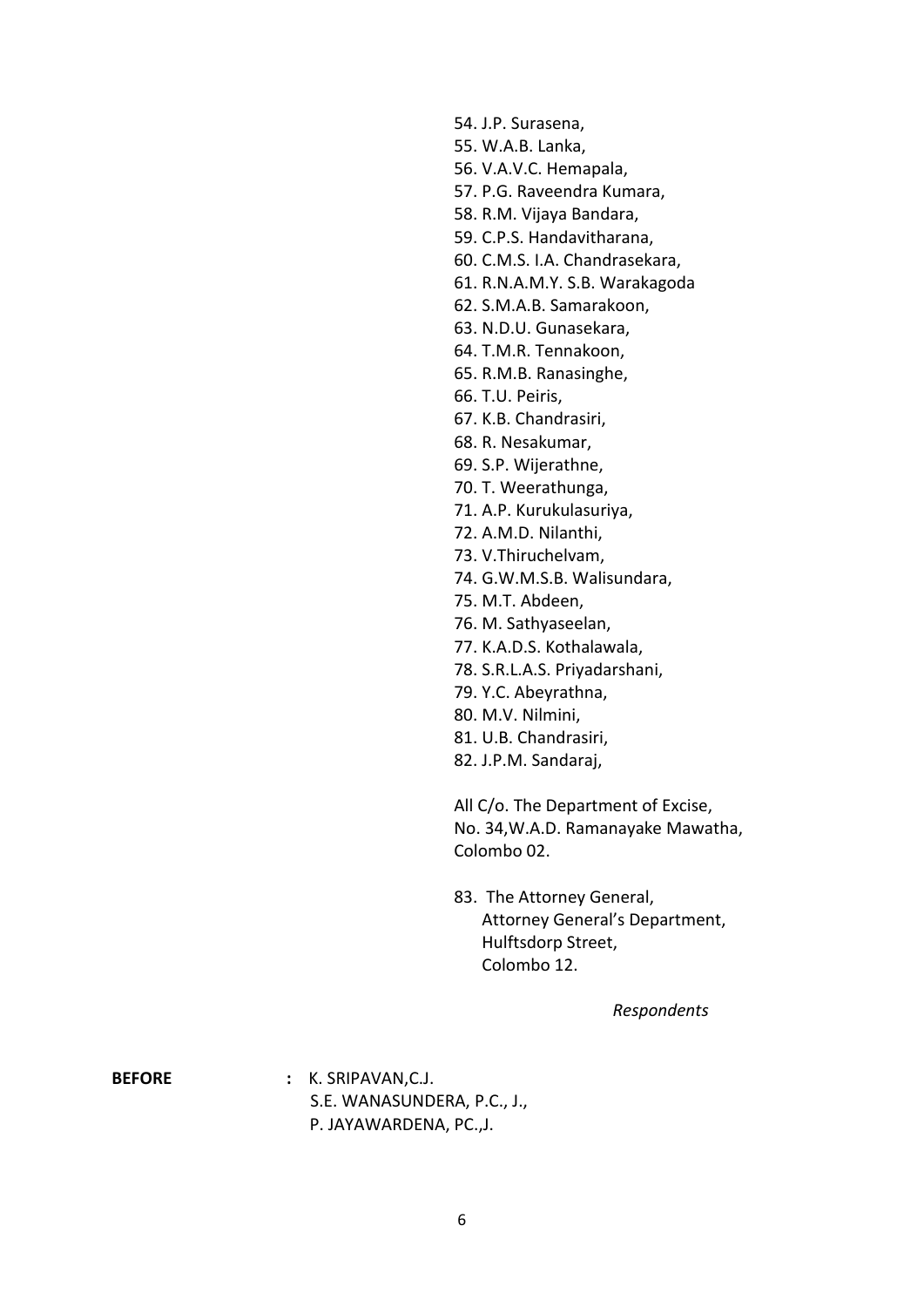54. J.P. Surasena,

- 55. W.A.B. Lanka,
- 56. V.A.V.C. Hemapala,
- 57. P.G. Raveendra Kumara,
- 58. R.M. Vijaya Bandara,
- 59. C.P.S. Handavitharana,
- 60. C.M.S. I.A. Chandrasekara,
- 61. R.N.A.M.Y. S.B. Warakagoda
- 62. S.M.A.B. Samarakoon,
- 63. N.D.U. Gunasekara,
- 64. T.M.R. Tennakoon,
- 65. R.M.B. Ranasinghe,
- 66. T.U. Peiris,
- 67. K.B. Chandrasiri,
- 68. R. Nesakumar,
- 69. S.P. Wijerathne,
- 70. T. Weerathunga,
- 71. A.P. Kurukulasuriya,
- 72. A.M.D. Nilanthi,
- 73. V.Thiruchelvam,
- 74. G.W.M.S.B. Walisundara,
- 75. M.T. Abdeen,
- 76. M. Sathyaseelan,
- 77. K.A.D.S. Kothalawala,
- 78. S.R.L.A.S. Priyadarshani,
- 79. Y.C. Abeyrathna,
- 80. M.V. Nilmini,
- 81. U.B. Chandrasiri,
- 82. J.P.M. Sandaraj,

All C/o. The Department of Excise, No. 34,W.A.D. Ramanayake Mawatha, Colombo 02.

83. The Attorney General, Attorney General's Department, Hulftsdorp Street, Colombo 12.

*Respondents*

**BEFORE :** K. SRIPAVAN,C.J. S.E. WANASUNDERA, P.C., J., P. JAYAWARDENA, PC.,J.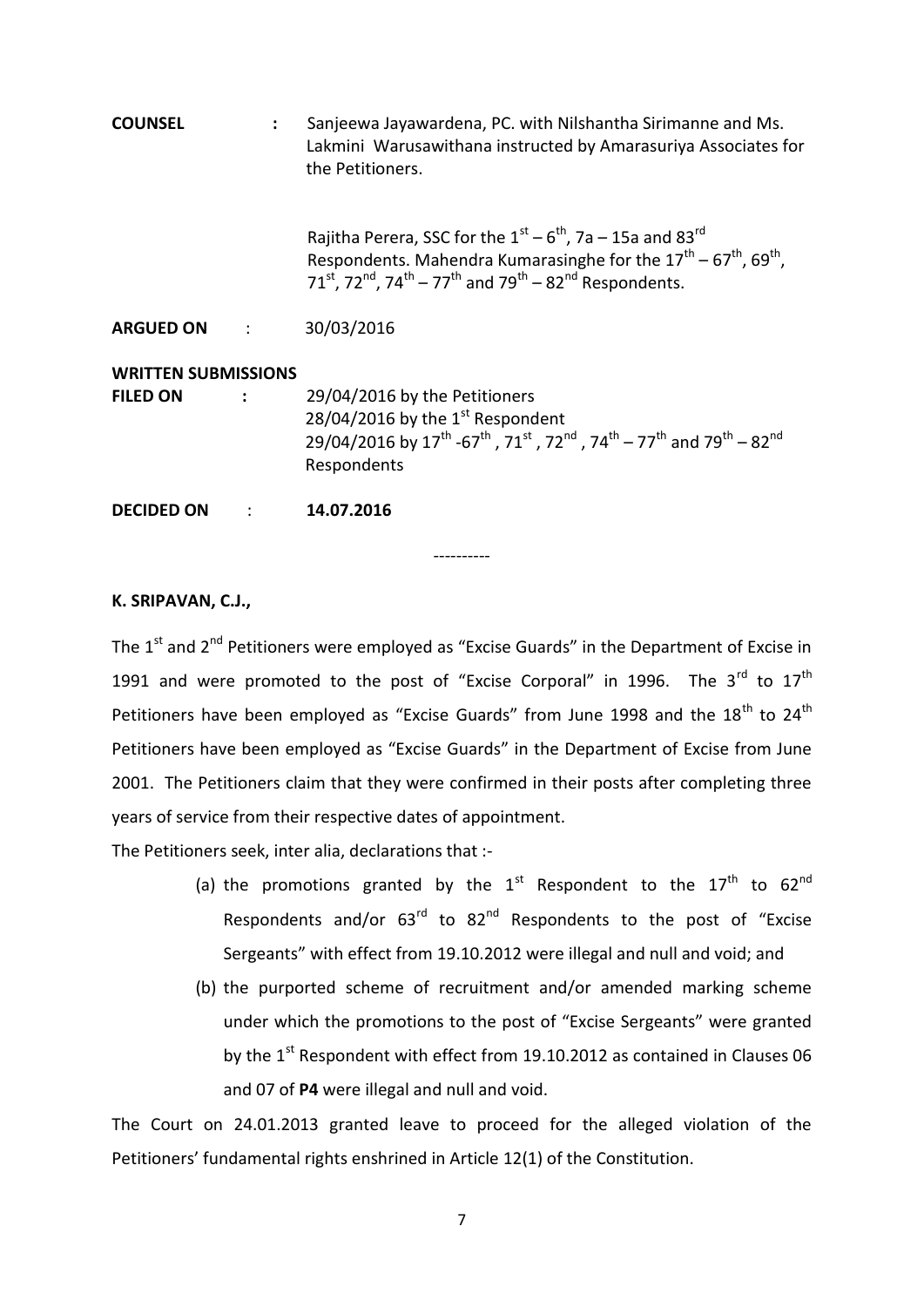| <b>COUNSEL</b>                                | Sanjeewa Jayawardena, PC. with Nilshantha Sirimanne and Ms.<br>Lakmini Warusawithana instructed by Amarasuriya Associates for<br>the Petitioners.                                                                                                                                                   |
|-----------------------------------------------|-----------------------------------------------------------------------------------------------------------------------------------------------------------------------------------------------------------------------------------------------------------------------------------------------------|
|                                               | Rajitha Perera, SSC for the $1^{st}$ – $6^{th}$ , 7a – 15a and 83 <sup>rd</sup><br>Respondents. Mahendra Kumarasinghe for the $17^{th}$ – $67^{th}$ , $69^{th}$ ,<br>71 <sup>st</sup> , 72 <sup>nd</sup> , 74 <sup>th</sup> – 77 <sup>th</sup> and 79 <sup>th</sup> – 82 <sup>nd</sup> Respondents. |
| ARGUED ON :                                   | 30/03/2016                                                                                                                                                                                                                                                                                          |
| <b>WRITTEN SUBMISSIONS</b><br><b>FILED ON</b> | 29/04/2016 by the Petitioners<br>28/04/2016 by the $1st$ Respondent<br>29/04/2016 by $17^{\text{th}}$ -67 <sup>th</sup> , 71 <sup>st</sup> , 72 <sup>nd</sup> , 74 <sup>th</sup> – 77 <sup>th</sup> and 79 <sup>th</sup> – 82 <sup>nd</sup><br>Respondents                                          |
| <b>DECIDED ON</b>                             | 14.07.2016                                                                                                                                                                                                                                                                                          |

### **K. SRIPAVAN, C.J.,**

The  $1<sup>st</sup>$  and  $2<sup>nd</sup>$  Petitioners were employed as "Excise Guards" in the Department of Excise in 1991 and were promoted to the post of "Excise Corporal" in 1996. The  $3^{rd}$  to  $17^{th}$ Petitioners have been employed as "Excise Guards" from June 1998 and the  $18^{th}$  to  $24^{th}$ Petitioners have been employed as "Excise Guards" in the Department of Excise from June 2001. The Petitioners claim that they were confirmed in their posts after completing three years of service from their respective dates of appointment.

----------

The Petitioners seek, inter alia, declarations that :-

- (a) the promotions granted by the  $1^{st}$  Respondent to the  $17^{th}$  to  $62^{nd}$ Respondents and/or  $63<sup>rd</sup>$  to  $82<sup>nd</sup>$  Respondents to the post of "Excise Sergeants" with effect from 19.10.2012 were illegal and null and void; and
- (b) the purported scheme of recruitment and/or amended marking scheme under which the promotions to the post of "Excise Sergeants" were granted by the  $1<sup>st</sup>$  Respondent with effect from 19.10.2012 as contained in Clauses 06 and 07 of **P4** were illegal and null and void.

The Court on 24.01.2013 granted leave to proceed for the alleged violation of the Petitioners' fundamental rights enshrined in Article 12(1) of the Constitution.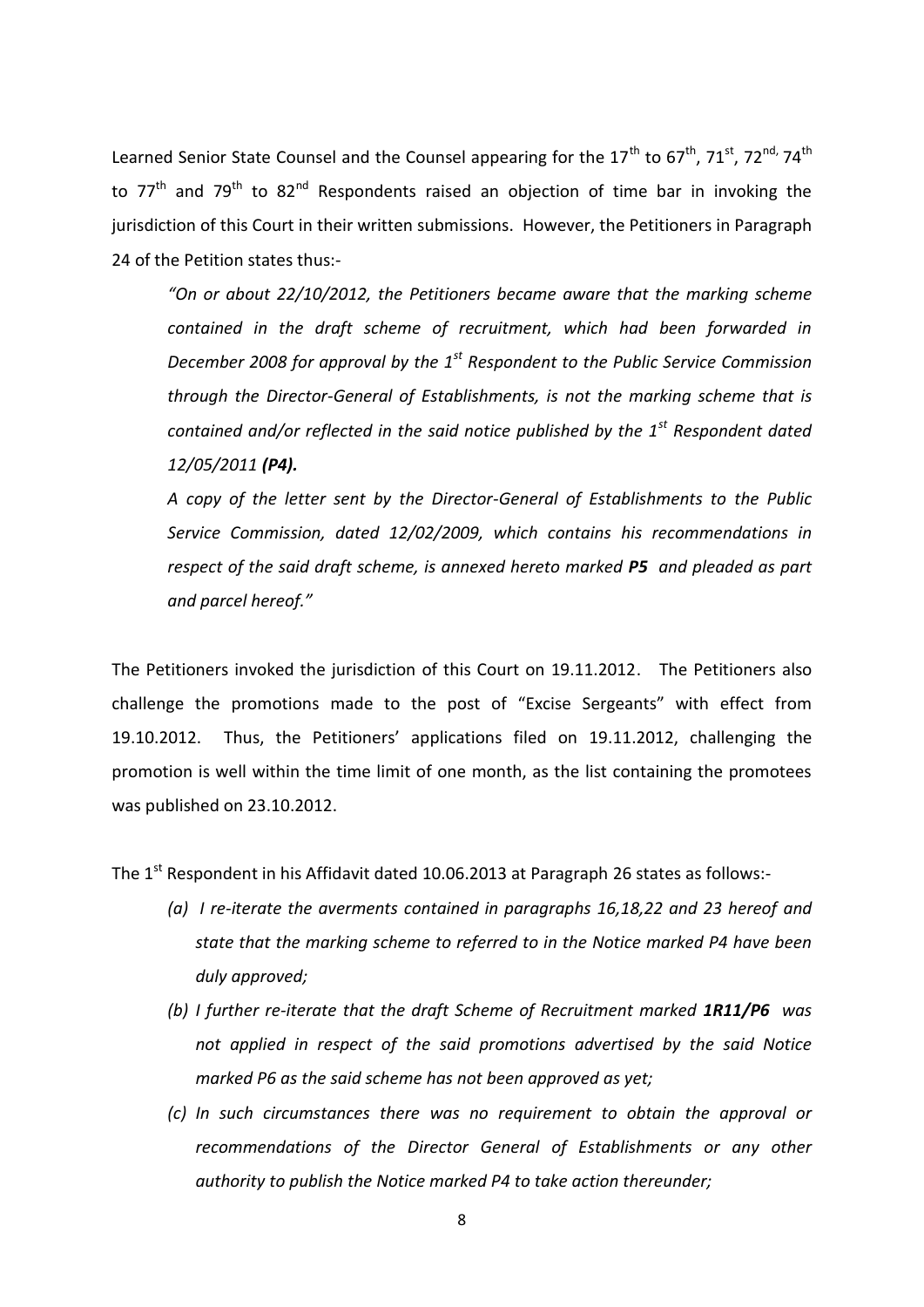Learned Senior State Counsel and the Counsel appearing for the 17<sup>th</sup> to 67<sup>th</sup>, 71<sup>st</sup>, 72<sup>nd,</sup> 74<sup>th</sup> to  $77<sup>th</sup>$  and  $79<sup>th</sup>$  to  $82<sup>nd</sup>$  Respondents raised an objection of time bar in invoking the jurisdiction of this Court in their written submissions. However, the Petitioners in Paragraph 24 of the Petition states thus:-

*"On or about 22/10/2012, the Petitioners became aware that the marking scheme contained in the draft scheme of recruitment, which had been forwarded in December 2008 for approval by the 1st Respondent to the Public Service Commission through the Director-General of Establishments, is not the marking scheme that is contained and/or reflected in the said notice published by the 1st Respondent dated 12/05/2011 (P4).*

*A copy of the letter sent by the Director-General of Establishments to the Public Service Commission, dated 12/02/2009, which contains his recommendations in respect of the said draft scheme, is annexed hereto marked P5 and pleaded as part and parcel hereof."*

The Petitioners invoked the jurisdiction of this Court on 19.11.2012. The Petitioners also challenge the promotions made to the post of "Excise Sergeants" with effect from 19.10.2012. Thus, the Petitioners' applications filed on 19.11.2012, challenging the promotion is well within the time limit of one month, as the list containing the promotees was published on 23.10.2012.

The  $1<sup>st</sup>$  Respondent in his Affidavit dated 10.06.2013 at Paragraph 26 states as follows:-

- *(a) I re-iterate the averments contained in paragraphs 16,18,22 and 23 hereof and state that the marking scheme to referred to in the Notice marked P4 have been duly approved;*
- *(b) I further re-iterate that the draft Scheme of Recruitment marked 1R11/P6 was not applied in respect of the said promotions advertised by the said Notice marked P6 as the said scheme has not been approved as yet;*
- *(c) In such circumstances there was no requirement to obtain the approval or recommendations of the Director General of Establishments or any other authority to publish the Notice marked P4 to take action thereunder;*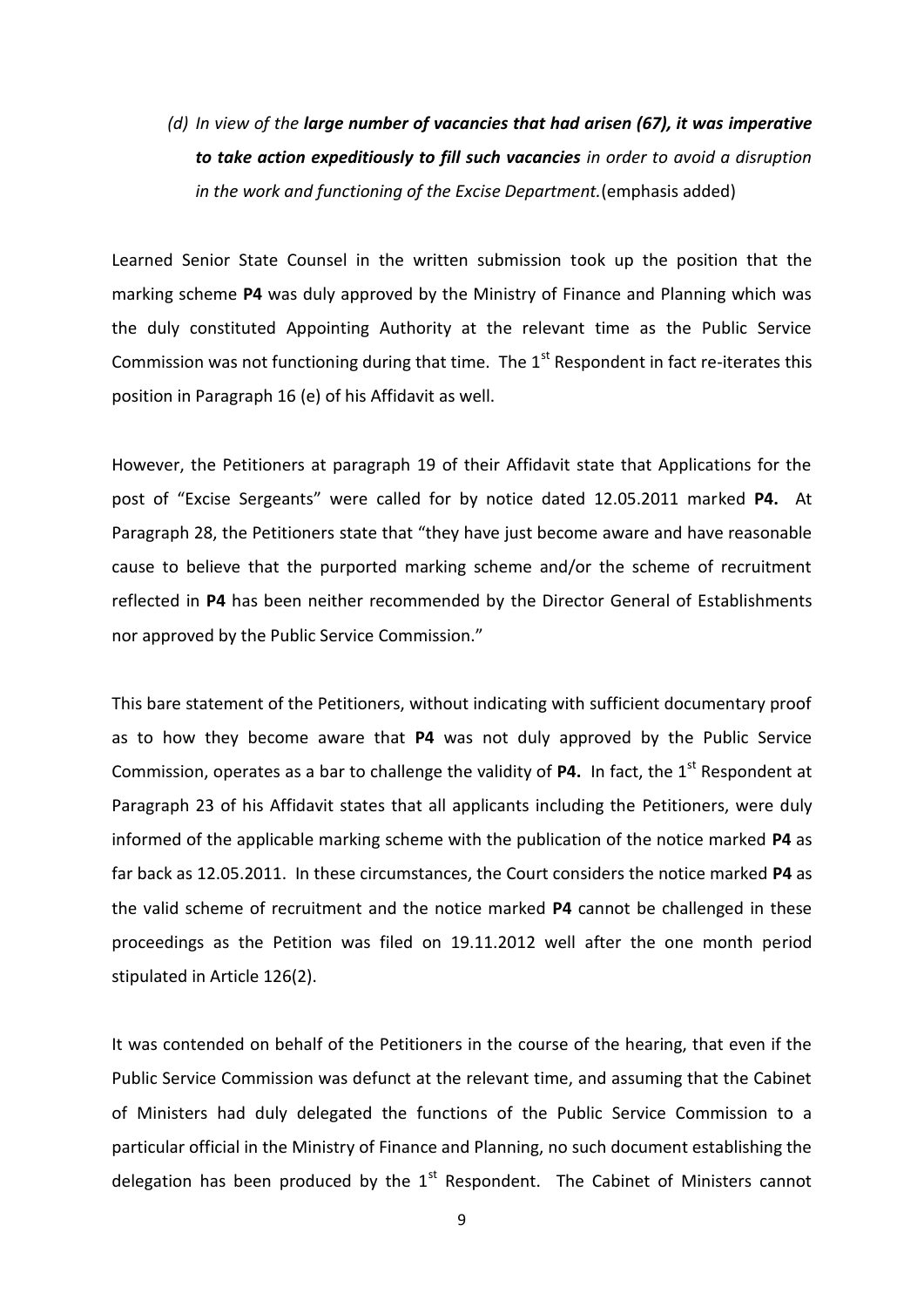## *(d) In view of the large number of vacancies that had arisen (67), it was imperative to take action expeditiously to fill such vacancies in order to avoid a disruption in the work and functioning of the Excise Department.*(emphasis added)

Learned Senior State Counsel in the written submission took up the position that the marking scheme **P4** was duly approved by the Ministry of Finance and Planning which was the duly constituted Appointing Authority at the relevant time as the Public Service Commission was not functioning during that time. The  $1<sup>st</sup>$  Respondent in fact re-iterates this position in Paragraph 16 (e) of his Affidavit as well.

However, the Petitioners at paragraph 19 of their Affidavit state that Applications for the post of "Excise Sergeants" were called for by notice dated 12.05.2011 marked **P4.** At Paragraph 28, the Petitioners state that "they have just become aware and have reasonable cause to believe that the purported marking scheme and/or the scheme of recruitment reflected in **P4** has been neither recommended by the Director General of Establishments nor approved by the Public Service Commission."

This bare statement of the Petitioners, without indicating with sufficient documentary proof as to how they become aware that **P4** was not duly approved by the Public Service Commission, operates as a bar to challenge the validity of P4. In fact, the 1<sup>st</sup> Respondent at Paragraph 23 of his Affidavit states that all applicants including the Petitioners, were duly informed of the applicable marking scheme with the publication of the notice marked **P4** as far back as 12.05.2011. In these circumstances, the Court considers the notice marked **P4** as the valid scheme of recruitment and the notice marked **P4** cannot be challenged in these proceedings as the Petition was filed on 19.11.2012 well after the one month period stipulated in Article 126(2).

It was contended on behalf of the Petitioners in the course of the hearing, that even if the Public Service Commission was defunct at the relevant time, and assuming that the Cabinet of Ministers had duly delegated the functions of the Public Service Commission to a particular official in the Ministry of Finance and Planning, no such document establishing the delegation has been produced by the  $1<sup>st</sup>$  Respondent. The Cabinet of Ministers cannot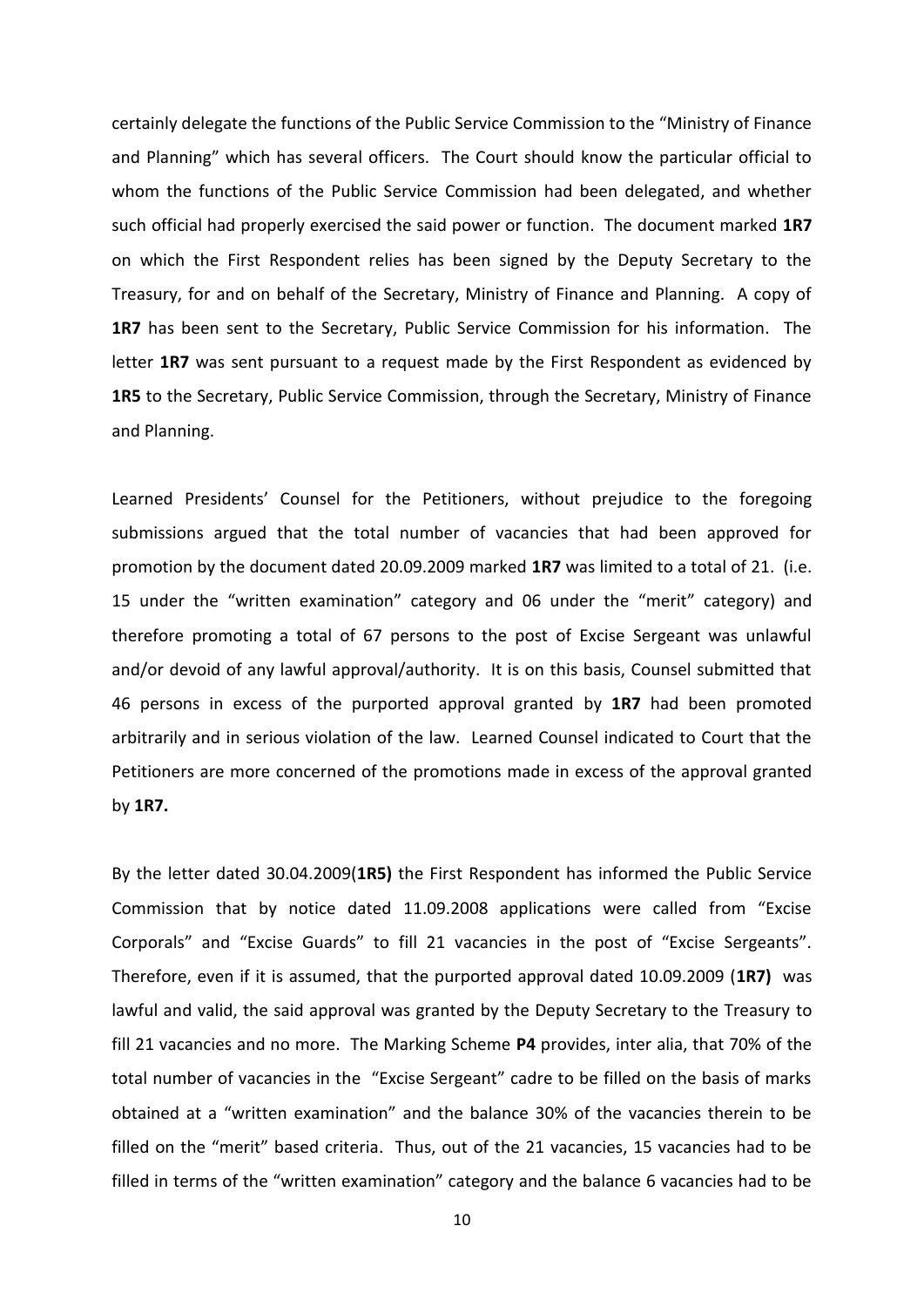certainly delegate the functions of the Public Service Commission to the "Ministry of Finance and Planning" which has several officers. The Court should know the particular official to whom the functions of the Public Service Commission had been delegated, and whether such official had properly exercised the said power or function. The document marked **1R7**  on which the First Respondent relies has been signed by the Deputy Secretary to the Treasury, for and on behalf of the Secretary, Ministry of Finance and Planning. A copy of **1R7** has been sent to the Secretary, Public Service Commission for his information. The letter **1R7** was sent pursuant to a request made by the First Respondent as evidenced by **1R5** to the Secretary, Public Service Commission, through the Secretary, Ministry of Finance and Planning.

Learned Presidents' Counsel for the Petitioners, without prejudice to the foregoing submissions argued that the total number of vacancies that had been approved for promotion by the document dated 20.09.2009 marked **1R7** was limited to a total of 21. (i.e. 15 under the "written examination" category and 06 under the "merit" category) and therefore promoting a total of 67 persons to the post of Excise Sergeant was unlawful and/or devoid of any lawful approval/authority. It is on this basis, Counsel submitted that 46 persons in excess of the purported approval granted by **1R7** had been promoted arbitrarily and in serious violation of the law. Learned Counsel indicated to Court that the Petitioners are more concerned of the promotions made in excess of the approval granted by **1R7.**

By the letter dated 30.04.2009(**1R5)** the First Respondent has informed the Public Service Commission that by notice dated 11.09.2008 applications were called from "Excise Corporals" and "Excise Guards" to fill 21 vacancies in the post of "Excise Sergeants". Therefore, even if it is assumed, that the purported approval dated 10.09.2009 (**1R7)** was lawful and valid, the said approval was granted by the Deputy Secretary to the Treasury to fill 21 vacancies and no more. The Marking Scheme **P4** provides, inter alia, that 70% of the total number of vacancies in the "Excise Sergeant" cadre to be filled on the basis of marks obtained at a "written examination" and the balance 30% of the vacancies therein to be filled on the "merit" based criteria. Thus, out of the 21 vacancies, 15 vacancies had to be filled in terms of the "written examination" category and the balance 6 vacancies had to be

10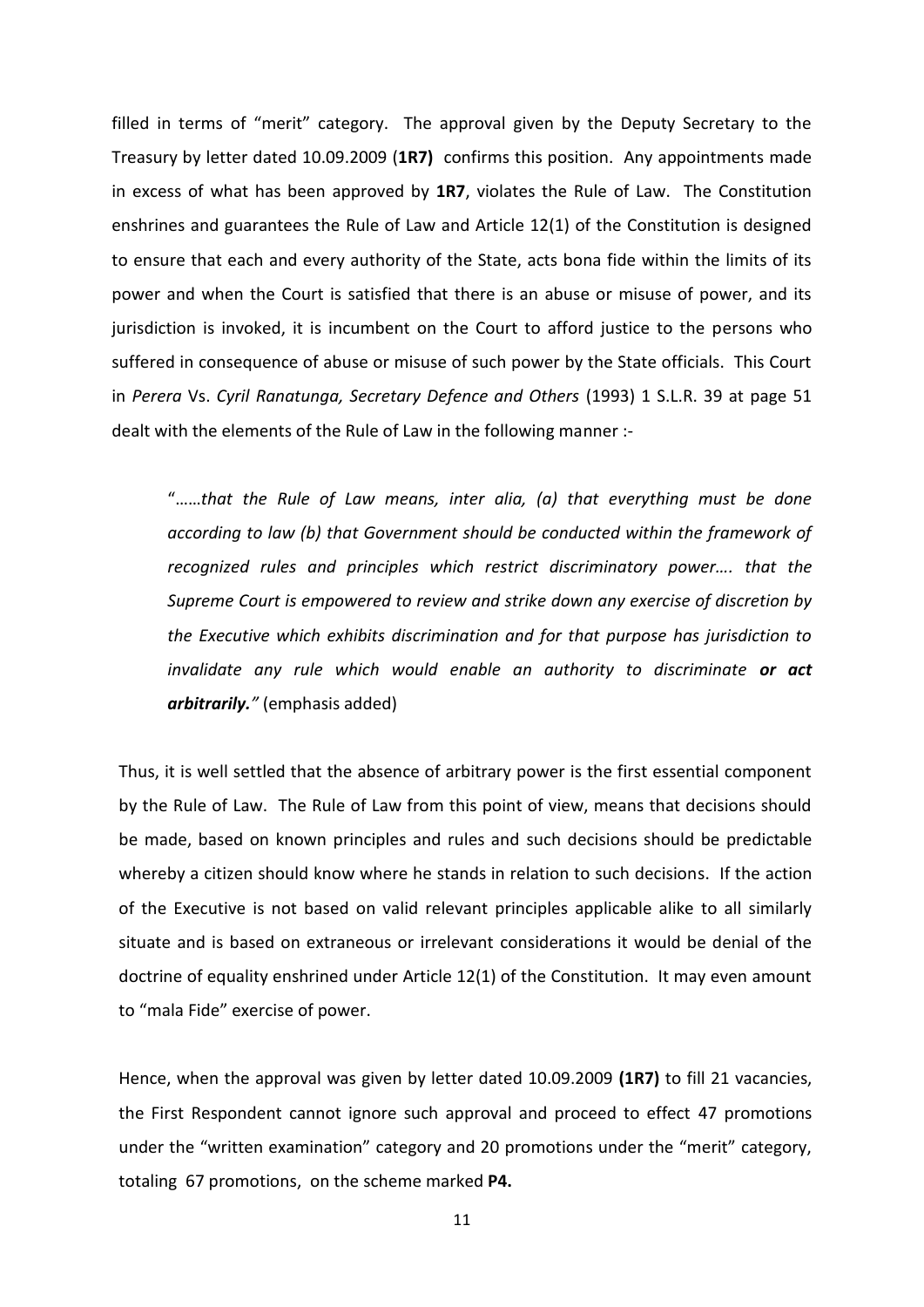filled in terms of "merit" category. The approval given by the Deputy Secretary to the Treasury by letter dated 10.09.2009 (**1R7)** confirms this position. Any appointments made in excess of what has been approved by **1R7**, violates the Rule of Law. The Constitution enshrines and guarantees the Rule of Law and Article 12(1) of the Constitution is designed to ensure that each and every authority of the State, acts bona fide within the limits of its power and when the Court is satisfied that there is an abuse or misuse of power, and its jurisdiction is invoked, it is incumbent on the Court to afford justice to the persons who suffered in consequence of abuse or misuse of such power by the State officials. This Court in *Perera* Vs. *Cyril Ranatunga, Secretary Defence and Others* (1993) 1 S.L.R. 39 at page 51 dealt with the elements of the Rule of Law in the following manner :-

"……*that the Rule of Law means, inter alia, (a) that everything must be done according to law (b) that Government should be conducted within the framework of recognized rules and principles which restrict discriminatory power…. that the Supreme Court is empowered to review and strike down any exercise of discretion by the Executive which exhibits discrimination and for that purpose has jurisdiction to invalidate any rule which would enable an authority to discriminate or act arbitrarily."* (emphasis added)

Thus, it is well settled that the absence of arbitrary power is the first essential component by the Rule of Law. The Rule of Law from this point of view, means that decisions should be made, based on known principles and rules and such decisions should be predictable whereby a citizen should know where he stands in relation to such decisions. If the action of the Executive is not based on valid relevant principles applicable alike to all similarly situate and is based on extraneous or irrelevant considerations it would be denial of the doctrine of equality enshrined under Article 12(1) of the Constitution. It may even amount to "mala Fide" exercise of power.

Hence, when the approval was given by letter dated 10.09.2009 **(1R7)** to fill 21 vacancies, the First Respondent cannot ignore such approval and proceed to effect 47 promotions under the "written examination" category and 20 promotions under the "merit" category, totaling 67 promotions, on the scheme marked **P4.**